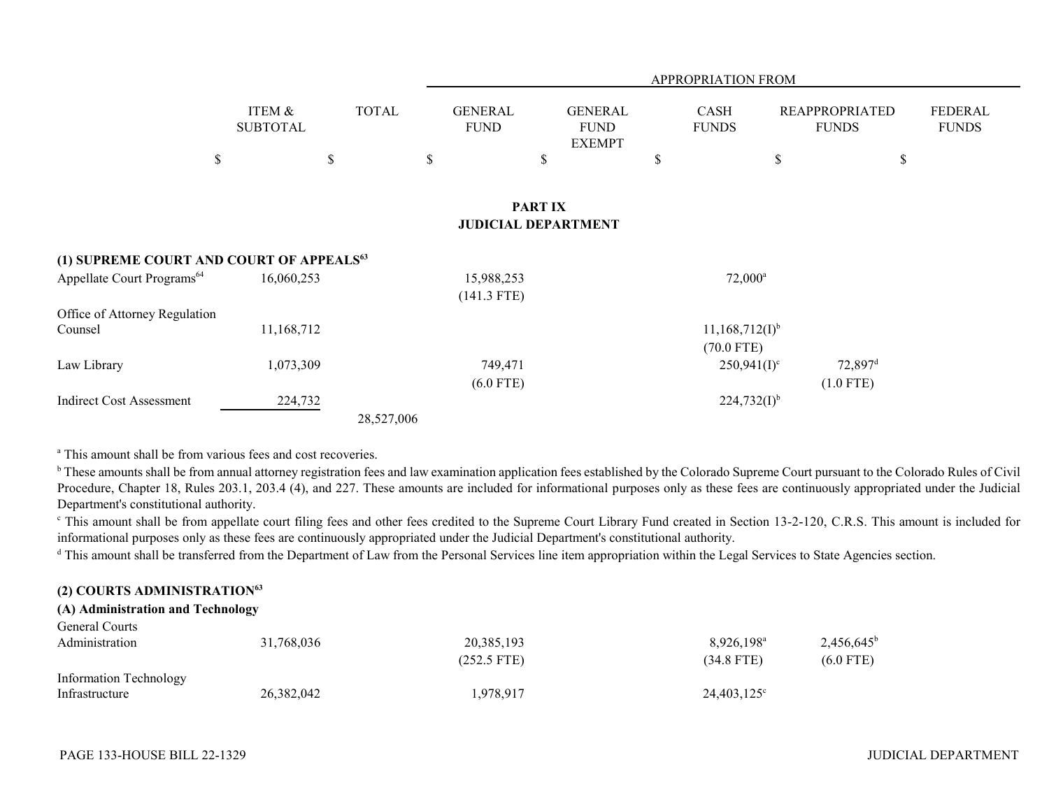|                                                      |                           |              | <b>APPROPRIATION FROM</b>     |                                                |                      |                                     |                                       |                                |  |  |  |
|------------------------------------------------------|---------------------------|--------------|-------------------------------|------------------------------------------------|----------------------|-------------------------------------|---------------------------------------|--------------------------------|--|--|--|
|                                                      | ITEM &<br><b>SUBTOTAL</b> | <b>TOTAL</b> | <b>GENERAL</b><br><b>FUND</b> | <b>GENERAL</b><br><b>FUND</b><br><b>EXEMPT</b> | CASH<br><b>FUNDS</b> |                                     | <b>REAPPROPRIATED</b><br><b>FUNDS</b> | <b>FEDERAL</b><br><b>FUNDS</b> |  |  |  |
| \$                                                   |                           | \$           | \$                            | \$                                             | \$                   | \$                                  | \$                                    |                                |  |  |  |
| <b>PARTIX</b><br><b>JUDICIAL DEPARTMENT</b>          |                           |              |                               |                                                |                      |                                     |                                       |                                |  |  |  |
| (1) SUPREME COURT AND COURT OF APPEALS <sup>63</sup> |                           |              |                               |                                                |                      |                                     |                                       |                                |  |  |  |
| Appellate Court Programs <sup>64</sup>               | 16,060,253                |              | 15,988,253<br>$(141.3$ FTE)   |                                                |                      | $72,000^a$                          |                                       |                                |  |  |  |
| Office of Attorney Regulation<br>Counsel             | 11,168,712                |              |                               |                                                |                      | $11,168,712(I)^{b}$<br>$(70.0$ FTE) |                                       |                                |  |  |  |
| Law Library                                          | 1,073,309                 |              | 749,471<br>$(6.0$ FTE)        |                                                |                      | $250,941(I)^c$                      | $72,897$ <sup>d</sup><br>$(1.0$ FTE)  |                                |  |  |  |
| <b>Indirect Cost Assessment</b>                      | 224,732                   | 28,527,006   |                               |                                                |                      | $224,732(I)^{b}$                    |                                       |                                |  |  |  |

<sup>a</sup> This amount shall be from various fees and cost recoveries.

<sup>b</sup> These amounts shall be from annual attorney registration fees and law examination application fees established by the Colorado Supreme Court pursuant to the Colorado Rules of Civil Procedure, Chapter 18, Rules 203.1, 203.4 (4), and 227. These amounts are included for informational purposes only as these fees are continuously appropriated under the Judicial Department's constitutional authority.

<sup>c</sup> This amount shall be from appellate court filing fees and other fees credited to the Supreme Court Library Fund created in Section 13-2-120, C.R.S. This amount is included for informational purposes only as these fees are continuously appropriated under the Judicial Department's constitutional authority.

<sup>d</sup> This amount shall be transferred from the Department of Law from the Personal Services line item appropriation within the Legal Services to State Agencies section.

## **(2) COURTS ADMINISTRATION<sup>63</sup>**

#### **(A) Administration and Technology**

| <b>General Courts</b>                    | 31,768,036 | 20,385,193    | $8,926,198^{\circ}$  | $2,456,645^{\rm b}$ |
|------------------------------------------|------------|---------------|----------------------|---------------------|
| Administration                           |            | $(252.5$ FTE) | $(34.8$ FTE)         | $(6.0$ FTE)         |
| Information Technology<br>Infrastructure | 26,382,042 | 1,978,917     | $24,403,125^{\circ}$ |                     |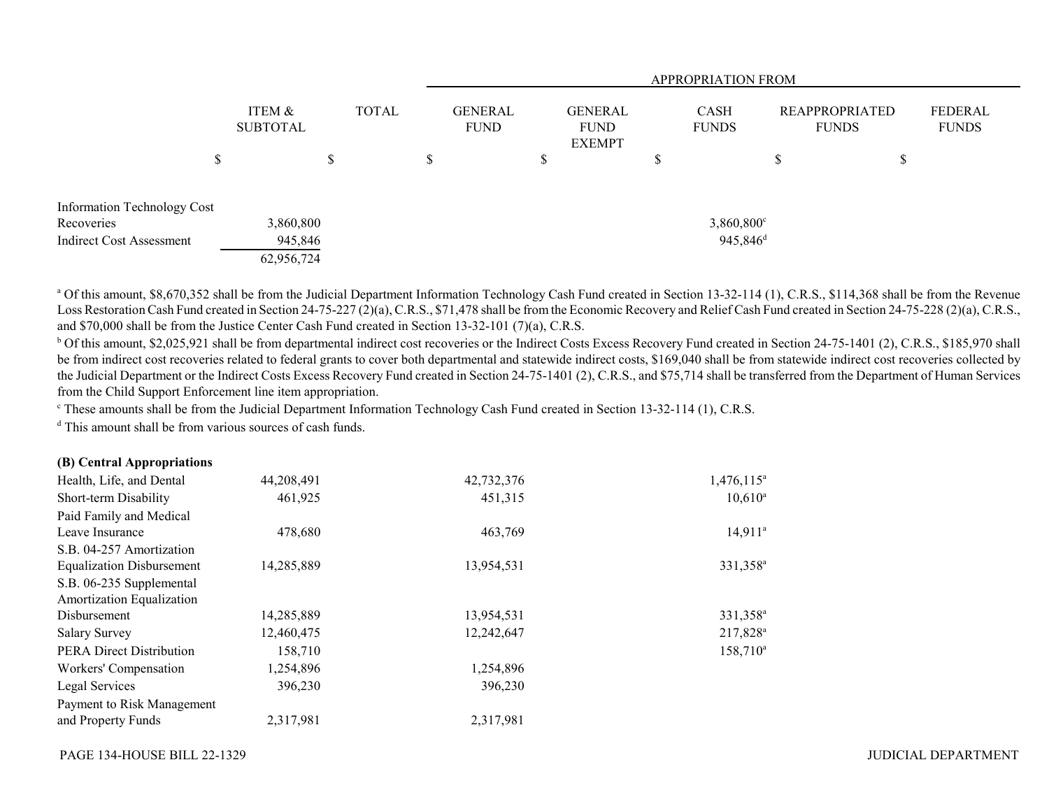|                             |                           | <b>APPROPRIATION FROM</b> |              |   |                               |  |                                                |  |                             |    |                                       |                         |
|-----------------------------|---------------------------|---------------------------|--------------|---|-------------------------------|--|------------------------------------------------|--|-----------------------------|----|---------------------------------------|-------------------------|
|                             | ITEM &<br><b>SUBTOTAL</b> |                           | <b>TOTAL</b> |   | <b>GENERAL</b><br><b>FUND</b> |  | <b>GENERAL</b><br><b>FUND</b><br><b>EXEMPT</b> |  | <b>CASH</b><br><b>FUNDS</b> |    | <b>REAPPROPRIATED</b><br><b>FUNDS</b> | FEDERAL<br><b>FUNDS</b> |
|                             | ¢<br>D                    | S                         |              | D |                               |  |                                                |  |                             | ۰D | D                                     |                         |
| Information Technology Cost |                           |                           |              |   |                               |  |                                                |  |                             |    |                                       |                         |
| Recoveries                  |                           | 3,860,800                 |              |   |                               |  |                                                |  | $3,860,800^{\circ}$         |    |                                       |                         |
| Indirect Cost Assessment    |                           | 945,846                   |              |   |                               |  |                                                |  | $945,846$ <sup>d</sup>      |    |                                       |                         |
|                             |                           | 62,956,724                |              |   |                               |  |                                                |  |                             |    |                                       |                         |

<sup>a</sup> Of this amount, \$8,670,352 shall be from the Judicial Department Information Technology Cash Fund created in Section 13-32-114 (1), C.R.S., \$114,368 shall be from the Revenue Loss Restoration Cash Fund created in Section 24-75-227 (2)(a), C.R.S., \$71,478 shall be from the Economic Recovery and Relief Cash Fund created in Section 24-75-228 (2)(a), C.R.S., and \$70,000 shall be from the Justice Center Cash Fund created in Section 13-32-101 (7)(a), C.R.S.

<sup>b</sup> Of this amount, \$2,025,921 shall be from departmental indirect cost recoveries or the Indirect Costs Excess Recovery Fund created in Section 24-75-1401 (2), C.R.S., \$185,970 shall be from indirect cost recoveries related to federal grants to cover both departmental and statewide indirect costs, \$169,040 shall be from statewide indirect cost recoveries collected by the Judicial Department or the Indirect Costs Excess Recovery Fund created in Section 24-75-1401 (2), C.R.S., and \$75,714 shall be transferred from the Department of Human Services from the Child Support Enforcement line item appropriation.

c These amounts shall be from the Judicial Department Information Technology Cash Fund created in Section 13-32-114 (1), C.R.S.

<sup>d</sup> This amount shall be from various sources of cash funds.

| (B) Central Appropriations |
|----------------------------|
|----------------------------|

| Health, Life, and Dental         | 44,208,491 | 42,732,376 | $1,476,115^{\circ}$  |
|----------------------------------|------------|------------|----------------------|
| Short-term Disability            | 461,925    | 451,315    | $10,610^a$           |
| Paid Family and Medical          |            |            |                      |
| Leave Insurance                  | 478,680    | 463,769    | $14,911^a$           |
| S.B. 04-257 Amortization         |            |            |                      |
| <b>Equalization Disbursement</b> | 14,285,889 | 13,954,531 | 331,358 <sup>a</sup> |
| S.B. 06-235 Supplemental         |            |            |                      |
| Amortization Equalization        |            |            |                      |
| Disbursement                     | 14,285,889 | 13,954,531 | 331,358 <sup>a</sup> |
| <b>Salary Survey</b>             | 12,460,475 | 12,242,647 | 217,828 <sup>a</sup> |
| <b>PERA Direct Distribution</b>  | 158,710    |            | $158,710^a$          |
| Workers' Compensation            | 1,254,896  | 1,254,896  |                      |
| Legal Services                   | 396,230    | 396,230    |                      |
| Payment to Risk Management       |            |            |                      |
| and Property Funds               | 2.317.981  | 2,317,981  |                      |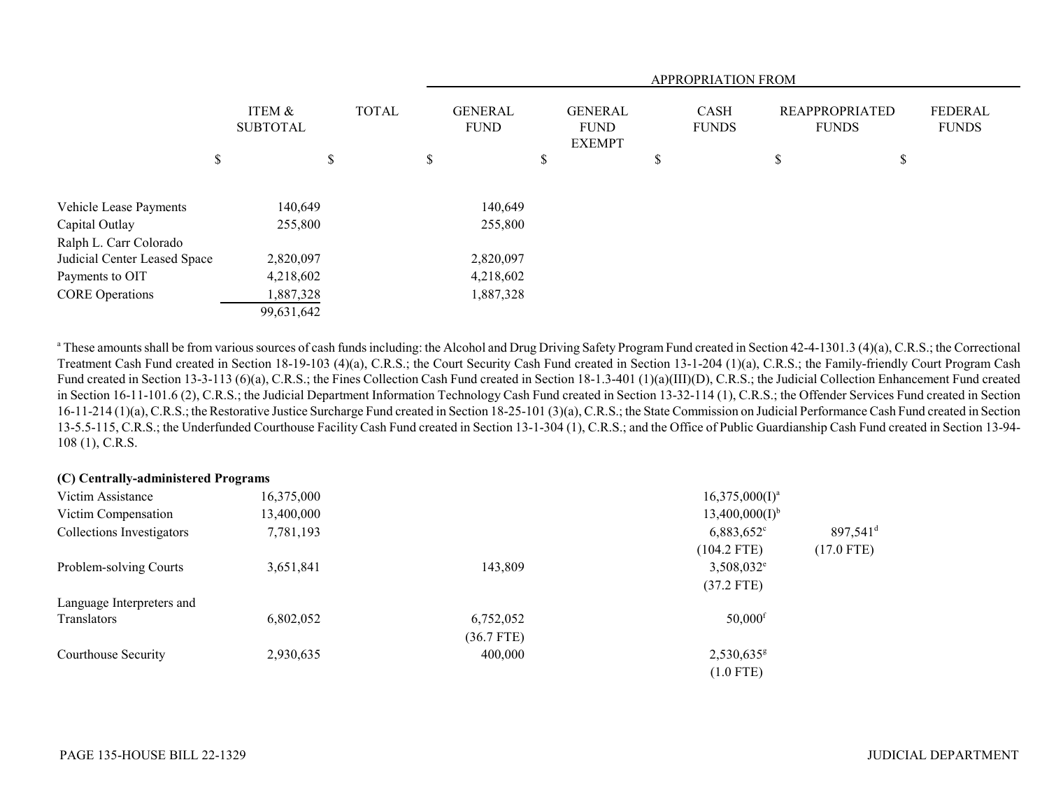|                              |    |                           |  |              | <b>APPROPRIATION FROM</b> |    |                               |   |                                                |    |                             |    |                                       |                                |
|------------------------------|----|---------------------------|--|--------------|---------------------------|----|-------------------------------|---|------------------------------------------------|----|-----------------------------|----|---------------------------------------|--------------------------------|
|                              |    | ITEM &<br><b>SUBTOTAL</b> |  | <b>TOTAL</b> |                           |    | <b>GENERAL</b><br><b>FUND</b> |   | <b>GENERAL</b><br><b>FUND</b><br><b>EXEMPT</b> |    | <b>CASH</b><br><b>FUNDS</b> |    | <b>REAPPROPRIATED</b><br><b>FUNDS</b> | <b>FEDERAL</b><br><b>FUNDS</b> |
|                              | \$ | \$                        |  | D            |                           | \$ |                               | D |                                                | \$ |                             | \$ |                                       |                                |
| Vehicle Lease Payments       |    | 140,649                   |  |              | 140,649                   |    |                               |   |                                                |    |                             |    |                                       |                                |
| Capital Outlay               |    | 255,800                   |  |              | 255,800                   |    |                               |   |                                                |    |                             |    |                                       |                                |
| Ralph L. Carr Colorado       |    |                           |  |              |                           |    |                               |   |                                                |    |                             |    |                                       |                                |
| Judicial Center Leased Space |    | 2,820,097                 |  |              | 2,820,097                 |    |                               |   |                                                |    |                             |    |                                       |                                |
| Payments to OIT              |    | 4,218,602                 |  |              | 4,218,602                 |    |                               |   |                                                |    |                             |    |                                       |                                |
| <b>CORE</b> Operations       |    | 1,887,328                 |  |              | 1,887,328                 |    |                               |   |                                                |    |                             |    |                                       |                                |
|                              |    | 99,631,642                |  |              |                           |    |                               |   |                                                |    |                             |    |                                       |                                |

<sup>a</sup> These amounts shall be from various sources of cash funds including: the Alcohol and Drug Driving Safety Program Fund created in Section 42-4-1301.3 (4)(a), C.R.S.; the Correctional Treatment Cash Fund created in Section 18-19-103 (4)(a), C.R.S.; the Court Security Cash Fund created in Section 13-1-204 (1)(a), C.R.S.; the Family-friendly Court Program Cash Fund created in Section 13-3-113 (6)(a), C.R.S.; the Fines Collection Cash Fund created in Section 18-1.3-401 (1)(a)(III)(D), C.R.S.; the Judicial Collection Enhancement Fund created in Section 16-11-101.6 (2), C.R.S.; the Judicial Department Information Technology Cash Fund created in Section 13-32-114 (1), C.R.S.; the Offender Services Fund created in Section 16-11-214 (1)(a), C.R.S.; the Restorative Justice Surcharge Fund created in Section 18-25-101 (3)(a), C.R.S.; the State Commission on Judicial Performance Cash Fund created in Section 13-5.5-115, C.R.S.; the Underfunded Courthouse Facility Cash Fund created in Section 13-1-304 (1), C.R.S.; and the Office of Public Guardianship Cash Fund created in Section 13-94- 108 (1), C.R.S.

| (C) Centrally-administered Programs |            |              |                          |                      |
|-------------------------------------|------------|--------------|--------------------------|----------------------|
| Victim Assistance                   | 16,375,000 |              | $16,375,000(1)^a$        |                      |
| Victim Compensation                 | 13,400,000 |              | $13,400,000(I)^{b}$      |                      |
| Collections Investigators           | 7,781,193  |              | $6,883,652$ °            | 897,541 <sup>d</sup> |
|                                     |            |              | $(104.2$ FTE)            | $(17.0$ FTE)         |
| Problem-solving Courts              | 3,651,841  | 143,809      | $3,508,032^e$            |                      |
|                                     |            |              | $(37.2$ FTE)             |                      |
| Language Interpreters and           |            |              |                          |                      |
| Translators                         | 6,802,052  | 6,752,052    | $50,000$ <sup>f</sup>    |                      |
|                                     |            | $(36.7$ FTE) |                          |                      |
| Courthouse Security                 | 2,930,635  | 400,000      | $2,530,635$ <sup>g</sup> |                      |
|                                     |            |              | $(1.0$ FTE)              |                      |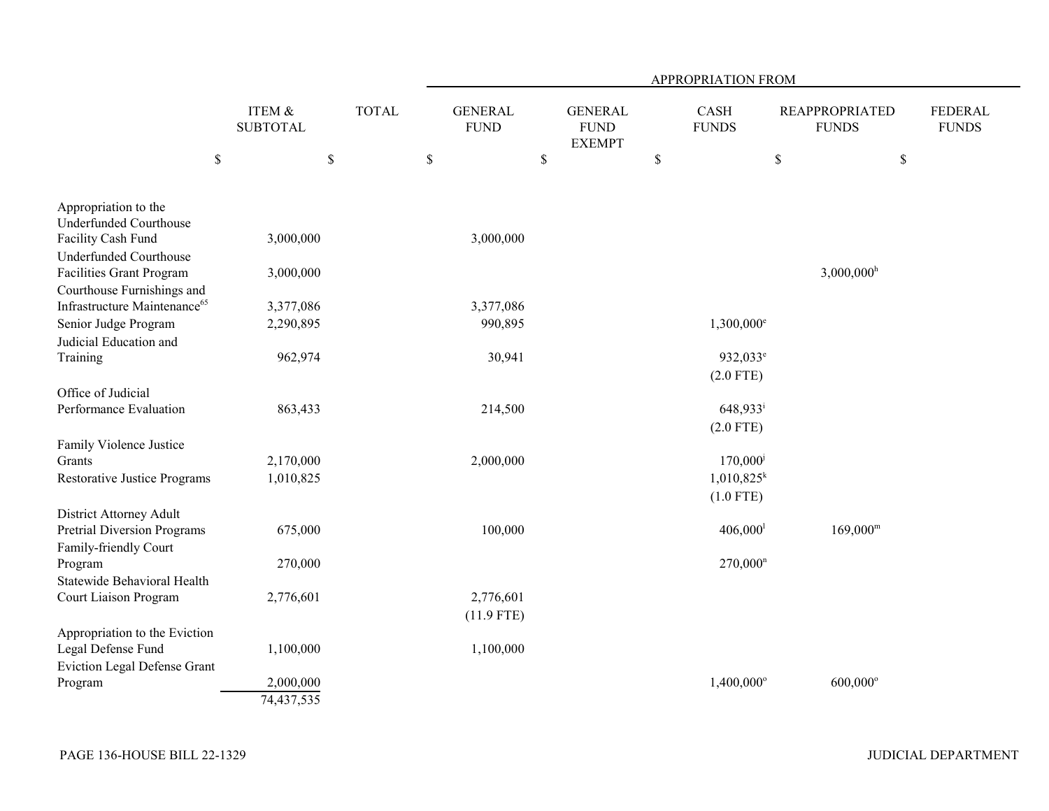|                                                |                           |              | APPROPRIATION FROM            |                                                |                          |                                       |                                |  |  |  |
|------------------------------------------------|---------------------------|--------------|-------------------------------|------------------------------------------------|--------------------------|---------------------------------------|--------------------------------|--|--|--|
|                                                | ITEM &<br><b>SUBTOTAL</b> | <b>TOTAL</b> | <b>GENERAL</b><br><b>FUND</b> | <b>GENERAL</b><br><b>FUND</b><br><b>EXEMPT</b> | CASH<br><b>FUNDS</b>     | <b>REAPPROPRIATED</b><br><b>FUNDS</b> | <b>FEDERAL</b><br><b>FUNDS</b> |  |  |  |
| $\$$                                           |                           | $\$$         | $\$$                          | $\mathbb{S}$                                   | $\mathbb S$              | $\mathbb{S}$                          | $\$$                           |  |  |  |
| Appropriation to the<br>Underfunded Courthouse |                           |              |                               |                                                |                          |                                       |                                |  |  |  |
| Facility Cash Fund                             | 3,000,000                 |              | 3,000,000                     |                                                |                          |                                       |                                |  |  |  |
| Underfunded Courthouse                         |                           |              |                               |                                                |                          |                                       |                                |  |  |  |
| Facilities Grant Program                       | 3,000,000                 |              |                               |                                                |                          | $3,000,000$ <sup>h</sup>              |                                |  |  |  |
| Courthouse Furnishings and                     |                           |              |                               |                                                |                          |                                       |                                |  |  |  |
| Infrastructure Maintenance <sup>65</sup>       | 3,377,086                 |              | 3,377,086                     |                                                |                          |                                       |                                |  |  |  |
| Senior Judge Program                           | 2,290,895                 |              | 990,895                       |                                                | $1,300,000$ <sup>e</sup> |                                       |                                |  |  |  |
| Judicial Education and                         |                           |              |                               |                                                |                          |                                       |                                |  |  |  |
| Training                                       | 962,974                   |              | 30,941                        |                                                | 932,033 <sup>e</sup>     |                                       |                                |  |  |  |
|                                                |                           |              |                               |                                                | $(2.0$ FTE)              |                                       |                                |  |  |  |
| Office of Judicial                             |                           |              |                               |                                                |                          |                                       |                                |  |  |  |
| Performance Evaluation                         | 863,433                   |              | 214,500                       |                                                | 648,933 <sup>i</sup>     |                                       |                                |  |  |  |
|                                                |                           |              |                               |                                                | $(2.0$ FTE)              |                                       |                                |  |  |  |
| Family Violence Justice                        |                           |              |                               |                                                |                          |                                       |                                |  |  |  |
| Grants                                         | 2,170,000                 |              | 2,000,000                     |                                                | 170,000                  |                                       |                                |  |  |  |
| <b>Restorative Justice Programs</b>            | 1,010,825                 |              |                               |                                                | $1,010,825^k$            |                                       |                                |  |  |  |
|                                                |                           |              |                               |                                                | $(1.0$ FTE)              |                                       |                                |  |  |  |
| District Attorney Adult                        |                           |              |                               |                                                |                          |                                       |                                |  |  |  |
| <b>Pretrial Diversion Programs</b>             | 675,000                   |              | 100,000                       |                                                | $406,000$ <sup>1</sup>   | $169,000^{\rm m}$                     |                                |  |  |  |
| Family-friendly Court                          |                           |              |                               |                                                |                          |                                       |                                |  |  |  |
| Program                                        | 270,000                   |              |                               |                                                | $270,000^n$              |                                       |                                |  |  |  |
| Statewide Behavioral Health                    |                           |              |                               |                                                |                          |                                       |                                |  |  |  |
| Court Liaison Program                          | 2,776,601                 |              | 2,776,601                     |                                                |                          |                                       |                                |  |  |  |
|                                                |                           |              | $(11.9$ FTE)                  |                                                |                          |                                       |                                |  |  |  |
| Appropriation to the Eviction                  |                           |              |                               |                                                |                          |                                       |                                |  |  |  |
| Legal Defense Fund                             | 1,100,000                 |              | 1,100,000                     |                                                |                          |                                       |                                |  |  |  |
| Eviction Legal Defense Grant                   | 2,000,000                 |              |                               |                                                | $1,400,000^{\circ}$      | 600,000°                              |                                |  |  |  |
| Program                                        | 74,437,535                |              |                               |                                                |                          |                                       |                                |  |  |  |
|                                                |                           |              |                               |                                                |                          |                                       |                                |  |  |  |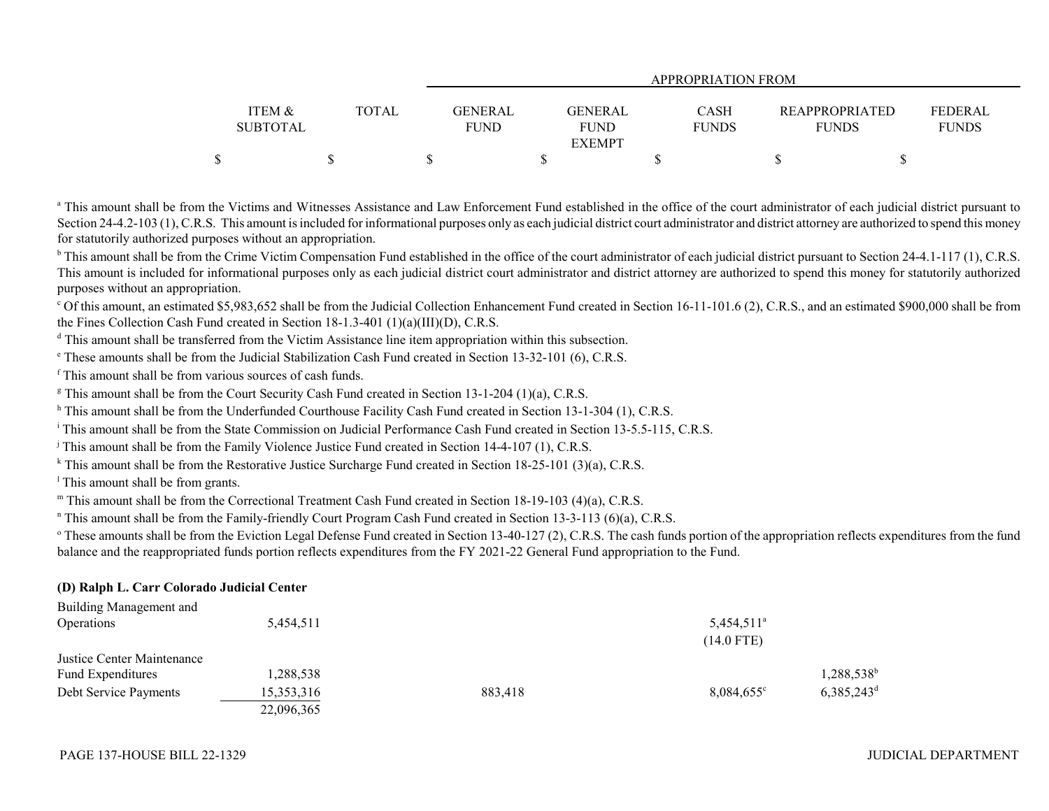|                   |              | APPROPRIATION FROM |               |              |                       |                |  |  |  |  |
|-------------------|--------------|--------------------|---------------|--------------|-----------------------|----------------|--|--|--|--|
|                   |              |                    |               |              |                       |                |  |  |  |  |
| <b>ITEM &amp;</b> | <b>TOTAL</b> | GENERAL            | GENERAL       | <b>CASH</b>  | <b>REAPPROPRIATED</b> | <b>FEDERAL</b> |  |  |  |  |
| <b>SUBTOTAL</b>   |              | <b>FUND</b>        | <b>FUND</b>   | <b>FUNDS</b> | <b>FUNDS</b>          | <b>FUNDS</b>   |  |  |  |  |
|                   |              |                    | <b>EXEMPT</b> |              |                       |                |  |  |  |  |
|                   |              |                    |               |              |                       |                |  |  |  |  |

<sup>a</sup> This amount shall be from the Victims and Witnesses Assistance and Law Enforcement Fund established in the office of the court administrator of each judicial district pursuant to Section 24-4.2-103 (1), C.R.S. This amount is included for informational purposes only as each judicial district court administrator and district attorney are authorized to spend this money for statutorily authorized purposes without an appropriation.

<sup>b</sup> This amount shall be from the Crime Victim Compensation Fund established in the office of the court administrator of each judicial district pursuant to Section 24-4.1-117 (1), C.R.S. This amount is included for informational purposes only as each judicial district court administrator and district attorney are authorized to spend this money for statutorily authorized purposes without an appropriation.

<sup>c</sup> Of this amount, an estimated \$5,983,652 shall be from the Judicial Collection Enhancement Fund created in Section 16-11-101.6 (2), C.R.S., and an estimated \$900,000 shall be from the Fines Collection Cash Fund created in Section 18-1.3-401 (1)(a)(III)(D), C.R.S.

<sup>d</sup> This amount shall be transferred from the Victim Assistance line item appropriation within this subsection.

e These amounts shall be from the Judicial Stabilization Cash Fund created in Section 13-32-101 (6), C.R.S.

f This amount shall be from various sources of cash funds.

<sup>g</sup> This amount shall be from the Court Security Cash Fund created in Section 13-1-204 (1)(a), C.R.S.

h This amount shall be from the Underfunded Courthouse Facility Cash Fund created in Section 13-1-304 (1), C.R.S.

<sup>i</sup> This amount shall be from the State Commission on Judicial Performance Cash Fund created in Section 13-5.5-115, C.R.S.

 $\beta$  This amount shall be from the Family Violence Justice Fund created in Section 14-4-107 (1), C.R.S.

<sup>k</sup> This amount shall be from the Restorative Justice Surcharge Fund created in Section 18-25-101 (3)(a), C.R.S.

 $<sup>1</sup>$  This amount shall be from grants.</sup>

m This amount shall be from the Correctional Treatment Cash Fund created in Section 18-19-103 (4)(a), C.R.S.

<sup>n</sup> This amount shall be from the Family-friendly Court Program Cash Fund created in Section 13-3-113 (6)(a), C.R.S.

 $\degree$  These amounts shall be from the Eviction Legal Defense Fund created in Section 13-40-127 (2), C.R.S. The cash funds portion of the appropriation reflects expenditures from the fund balance and the reappropriated funds portion reflects expenditures from the FY 2021-22 General Fund appropriation to the Fund.

### **(D) Ralph L. Carr Colorado Judicial Center**

| Building Management and    |            |         |                     |                          |
|----------------------------|------------|---------|---------------------|--------------------------|
| Operations                 | 5.454.511  |         | $5,454,511^{\circ}$ |                          |
|                            |            |         | $(14.0$ FTE)        |                          |
| Justice Center Maintenance |            |         |                     |                          |
| Fund Expenditures          | 1,288,538  |         |                     | 1,288,538 <sup>b</sup>   |
| Debt Service Payments      | 15,353,316 | 883,418 | $8,084,655^{\circ}$ | $6,385,243$ <sup>d</sup> |
|                            | 22,096,365 |         |                     |                          |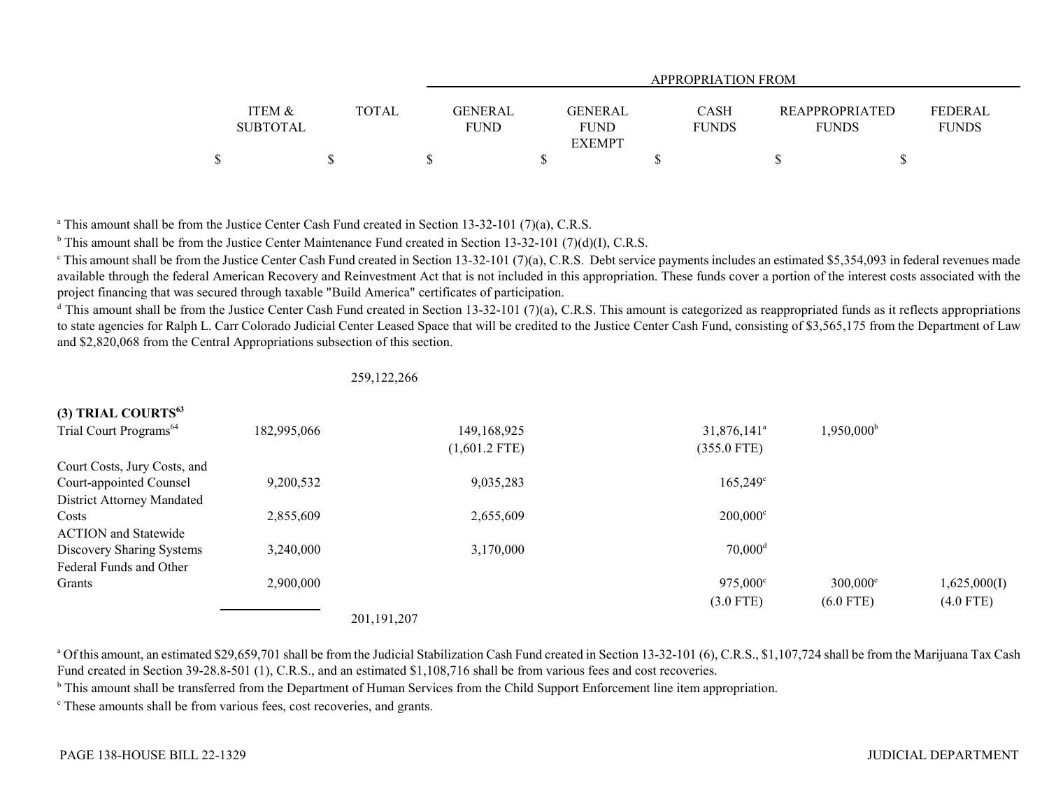|                   |              | APPROPRIATION FROM         |              |                       |              |  |  |  |  |
|-------------------|--------------|----------------------------|--------------|-----------------------|--------------|--|--|--|--|
|                   |              |                            |              |                       |              |  |  |  |  |
| <b>ITEM &amp;</b> | <b>TOTAL</b> | GENERAL<br>GENERAL         | <b>CASH</b>  | <b>REAPPROPRIATED</b> | FEDERAL      |  |  |  |  |
| <b>SUBTOTAL</b>   |              | <b>FUND</b><br><b>FUND</b> | <b>FUNDS</b> | <b>FUNDS</b>          | <b>FUNDS</b> |  |  |  |  |
|                   |              | <b>EXEMPT</b>              |              |                       |              |  |  |  |  |
|                   |              |                            |              |                       |              |  |  |  |  |

<sup>a</sup> This amount shall be from the Justice Center Cash Fund created in Section 13-32-101 (7)(a), C.R.S.

<sup>b</sup> This amount shall be from the Justice Center Maintenance Fund created in Section 13-32-101 (7)(d)(I), C.R.S.

<sup>c</sup> This amount shall be from the Justice Center Cash Fund created in Section 13-32-101 (7)(a), C.R.S. Debt service payments includes an estimated \$5,354,093 in federal revenues made available through the federal American Recovery and Reinvestment Act that is not included in this appropriation. These funds cover a portion of the interest costs associated with the project financing that was secured through taxable "Build America" certificates of participation.

 $d$  This amount shall be from the Justice Center Cash Fund created in Section 13-32-101 (7)(a), C.R.S. This amount is categorized as reappropriated funds as it reflects appropriations to state agencies for Ralph L. Carr Colorado Judicial Center Leased Space that will be credited to the Justice Center Cash Fund, consisting of \$3,565,175 from the Department of Law and \$2,820,068 from the Central Appropriations subsection of this section.

### 259,122,266

| $(3)$ TRIAL COURTS                 |             |                 |                           |                     |              |
|------------------------------------|-------------|-----------------|---------------------------|---------------------|--------------|
| Trial Court Programs <sup>64</sup> | 182,995,066 | 149,168,925     | $31,876,141$ <sup>a</sup> | $1,950,000^{\rm b}$ |              |
|                                    |             | $(1,601.2$ FTE) | $(355.0$ FTE)             |                     |              |
| Court Costs, Jury Costs, and       |             |                 |                           |                     |              |
| Court-appointed Counsel            | 9,200,532   | 9,035,283       | $165,249^{\circ}$         |                     |              |
| District Attorney Mandated         |             |                 |                           |                     |              |
| Costs                              | 2,855,609   | 2,655,609       | $200,000^{\circ}$         |                     |              |
| <b>ACTION</b> and Statewide        |             |                 |                           |                     |              |
| Discovery Sharing Systems          | 3,240,000   | 3,170,000       | $70,000$ <sup>d</sup>     |                     |              |
| Federal Funds and Other            |             |                 |                           |                     |              |
| Grants                             | 2,900,000   |                 | $975,000^{\circ}$         | $300,000^{\circ}$   | 1,625,000(I) |
|                                    |             |                 | $(3.0$ FTE)               | $(6.0$ FTE)         | $(4.0$ FTE)  |
|                                    |             | 201,191,207     |                           |                     |              |

<sup>a</sup> Of this amount, an estimated \$29,659,701 shall be from the Judicial Stabilization Cash Fund created in Section 13-32-101 (6), C.R.S., \$1,107,724 shall be from the Marijuana Tax Cash Fund created in Section 39-28.8-501 (1), C.R.S., and an estimated \$1,108,716 shall be from various fees and cost recoveries.

<sup>b</sup> This amount shall be transferred from the Department of Human Services from the Child Support Enforcement line item appropriation.

c These amounts shall be from various fees, cost recoveries, and grants.

**(3) TRIAL COURTS<sup>63</sup>**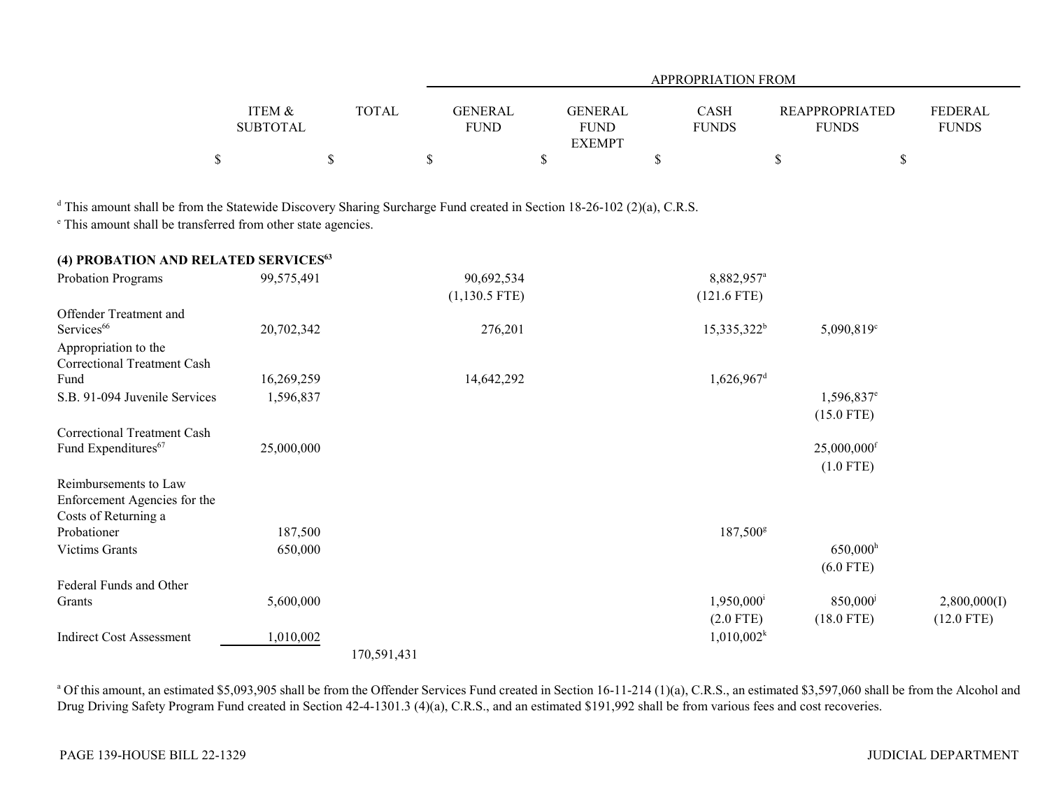|                   |              | APPROPRIATION FROM        |              |                       |                |  |  |  |  |
|-------------------|--------------|---------------------------|--------------|-----------------------|----------------|--|--|--|--|
|                   |              |                           |              |                       |                |  |  |  |  |
| <b>ITEM &amp;</b> | <b>TOTAL</b> | GENERAL<br><b>GENERAL</b> | CASH         | <b>REAPPROPRIATED</b> | <b>FEDERAL</b> |  |  |  |  |
| <b>SUBTOTAL</b>   |              | <b>FUND</b><br>FUND       | <b>FUNDS</b> | <b>FUNDS</b>          | <b>FUNDS</b>   |  |  |  |  |
|                   |              | <b>EXEMPT</b>             |              |                       |                |  |  |  |  |
|                   |              |                           |              |                       |                |  |  |  |  |

<sup>d</sup> This amount shall be from the Statewide Discovery Sharing Surcharge Fund created in Section 18-26-102 (2)(a), C.R.S.

e This amount shall be transferred from other state agencies.

| (4) PROBATION AND RELATED SERVICES $^{63}$          |            |             |                 |                          |                        |              |
|-----------------------------------------------------|------------|-------------|-----------------|--------------------------|------------------------|--------------|
| Probation Programs                                  | 99,575,491 |             | 90,692,534      | 8,882,957 <sup>a</sup>   |                        |              |
|                                                     |            |             | $(1,130.5$ FTE) | $(121.6$ FTE)            |                        |              |
| Offender Treatment and                              |            |             |                 |                          |                        |              |
| Services <sup>66</sup>                              | 20,702,342 |             | 276,201         | $15,335,322^b$           | 5,090,819°             |              |
| Appropriation to the<br>Correctional Treatment Cash |            |             |                 |                          |                        |              |
| Fund                                                | 16,269,259 |             | 14,642,292      | $1,626,967$ <sup>d</sup> |                        |              |
| S.B. 91-094 Juvenile Services                       | 1,596,837  |             |                 |                          | 1,596,837 <sup>e</sup> |              |
|                                                     |            |             |                 |                          | $(15.0$ FTE)           |              |
| <b>Correctional Treatment Cash</b>                  |            |             |                 |                          |                        |              |
| Fund Expenditures <sup>67</sup>                     | 25,000,000 |             |                 |                          | 25,000,000f            |              |
|                                                     |            |             |                 |                          | $(1.0$ FTE)            |              |
| Reimbursements to Law                               |            |             |                 |                          |                        |              |
| Enforcement Agencies for the                        |            |             |                 |                          |                        |              |
| Costs of Returning a                                |            |             |                 |                          |                        |              |
| Probationer                                         | 187,500    |             |                 | 187,500g                 |                        |              |
| <b>Victims Grants</b>                               | 650,000    |             |                 |                          | $650,000$ <sup>h</sup> |              |
|                                                     |            |             |                 |                          | $(6.0$ FTE)            |              |
| Federal Funds and Other                             |            |             |                 |                          |                        |              |
| Grants                                              | 5,600,000  |             |                 | $1,950,000$ <sup>i</sup> | 850,000 <sup>j</sup>   | 2,800,000(I) |
|                                                     |            |             |                 | $(2.0$ FTE)              | $(18.0$ FTE)           | $(12.0$ FTE) |
| <b>Indirect Cost Assessment</b>                     | 1,010,002  |             |                 | 1,010,002 <sup>k</sup>   |                        |              |
|                                                     |            | 170,591,431 |                 |                          |                        |              |

<sup>a</sup> Of this amount, an estimated \$5,093,905 shall be from the Offender Services Fund created in Section 16-11-214 (1)(a), C.R.S., an estimated \$3,597,060 shall be from the Alcohol and Drug Driving Safety Program Fund created in Section 42-4-1301.3 (4)(a), C.R.S., and an estimated \$191,992 shall be from various fees and cost recoveries.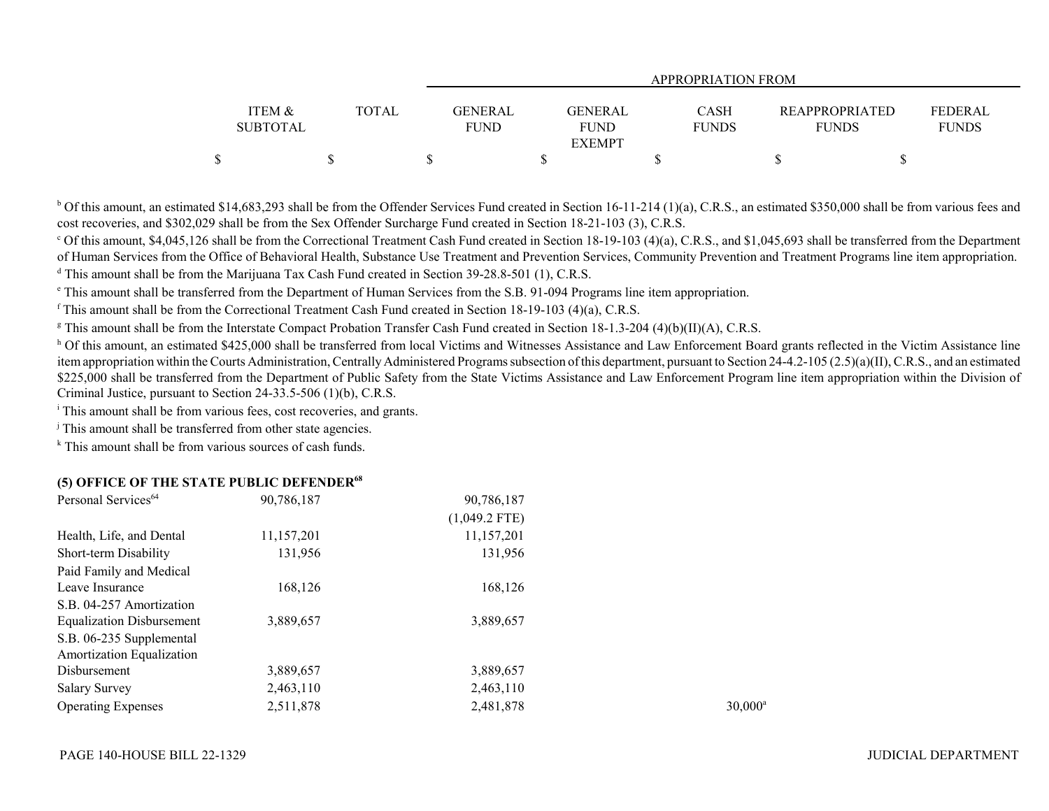|                 |       | APPROPRIATION FROM |                |              |                       |                |  |  |  |
|-----------------|-------|--------------------|----------------|--------------|-----------------------|----------------|--|--|--|
| ITEM &          | TOTAL | <b>GENERAL</b>     | <b>GENERAL</b> | <b>CASH</b>  | <b>REAPPROPRIATED</b> | <b>FEDERAL</b> |  |  |  |
| <b>SUBTOTAL</b> |       | <b>FUND</b>        | <b>FUND</b>    | <b>FUNDS</b> | <b>FUNDS</b>          | <b>FUNDS</b>   |  |  |  |
|                 |       |                    | <b>EXEMPT</b>  |              |                       |                |  |  |  |
|                 |       |                    |                |              |                       |                |  |  |  |

 $b$  Of this amount, an estimated \$14,683,293 shall be from the Offender Services Fund created in Section 16-11-214 (1)(a), C.R.S., an estimated \$350,000 shall be from various fees and cost recoveries, and \$302,029 shall be from the Sex Offender Surcharge Fund created in Section 18-21-103 (3), C.R.S.

 $^{\circ}$  Of this amount, \$4,045,126 shall be from the Correctional Treatment Cash Fund created in Section 18-19-103 (4)(a), C.R.S., and \$1,045,693 shall be transferred from the Department of Human Services from the Office of Behavioral Health, Substance Use Treatment and Prevention Services, Community Prevention and Treatment Programs line item appropriation. <sup>d</sup> This amount shall be from the Marijuana Tax Cash Fund created in Section 39-28.8-501 (1), C.R.S.

e This amount shall be transferred from the Department of Human Services from the S.B. 91-094 Programs line item appropriation.

f This amount shall be from the Correctional Treatment Cash Fund created in Section 18-19-103 (4)(a), C.R.S.

<sup>g</sup> This amount shall be from the Interstate Compact Probation Transfer Cash Fund created in Section 18-1.3-204 (4)(b)(II)(A), C.R.S.

<sup>h</sup> Of this amount, an estimated \$425,000 shall be transferred from local Victims and Witnesses Assistance and Law Enforcement Board grants reflected in the Victim Assistance line item appropriation within the Courts Administration, Centrally Administered Programs subsection of this department, pursuant to Section 24-4.2-105 (2.5)(a)(II), C.R.S., and an estimated \$225,000 shall be transferred from the Department of Public Safety from the State Victims Assistance and Law Enforcement Program line item appropriation within the Division of Criminal Justice, pursuant to Section 24-33.5-506 (1)(b), C.R.S.

<sup>i</sup> This amount shall be from various fees, cost recoveries, and grants.

<sup>j</sup> This amount shall be transferred from other state agencies.

 $k$  This amount shall be from various sources of cash funds.

### **(5) OFFICE OF THE STATE PUBLIC DEFENDER<sup>68</sup>**

| Personal Services <sup>64</sup>  | 90,786,187 | 90,786,187      |                  |
|----------------------------------|------------|-----------------|------------------|
|                                  |            | $(1,049.2$ FTE) |                  |
| Health, Life, and Dental         | 11,157,201 | 11,157,201      |                  |
| Short-term Disability            | 131,956    | 131,956         |                  |
| Paid Family and Medical          |            |                 |                  |
| Leave Insurance                  | 168.126    | 168,126         |                  |
| S.B. 04-257 Amortization         |            |                 |                  |
| <b>Equalization Disbursement</b> | 3,889,657  | 3,889,657       |                  |
| S.B. 06-235 Supplemental         |            |                 |                  |
| <b>Amortization Equalization</b> |            |                 |                  |
| Disbursement                     | 3,889,657  | 3,889,657       |                  |
| <b>Salary Survey</b>             | 2,463,110  | 2,463,110       |                  |
| <b>Operating Expenses</b>        | 2,511,878  | 2,481,878       | $30,000^{\circ}$ |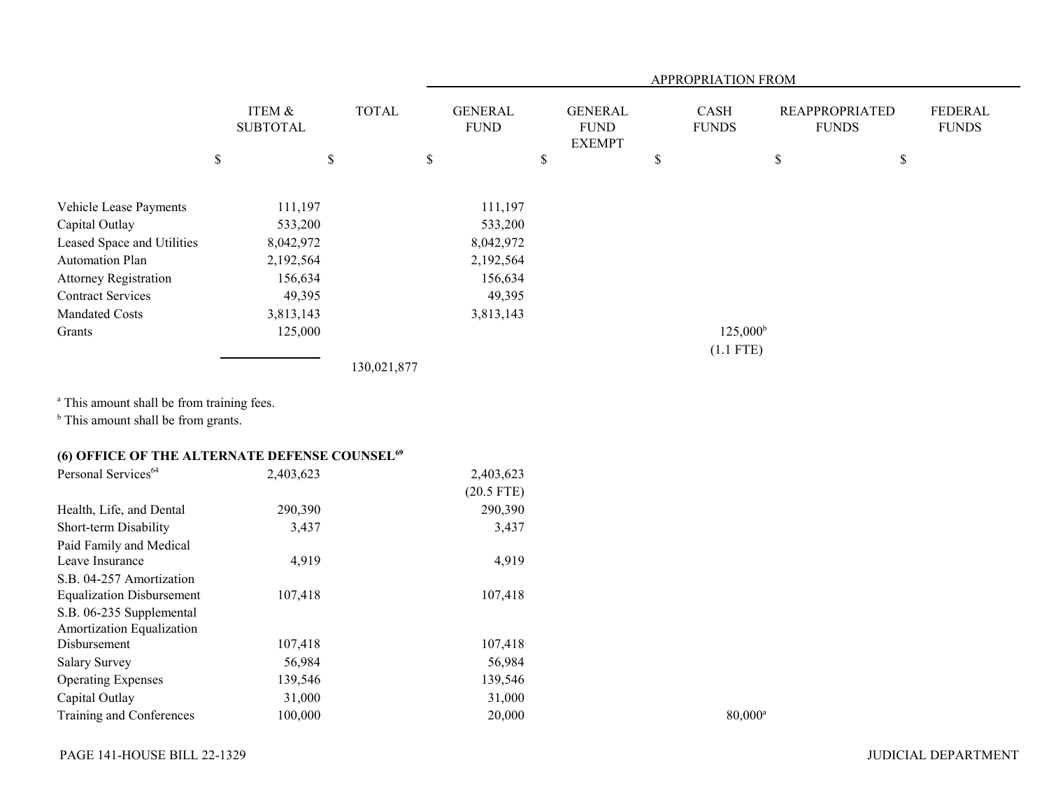|                                                                                                         |                           |              | APPROPRIATION FROM            |                                                |    |                      |                                       |                                |  |
|---------------------------------------------------------------------------------------------------------|---------------------------|--------------|-------------------------------|------------------------------------------------|----|----------------------|---------------------------------------|--------------------------------|--|
|                                                                                                         | ITEM &<br><b>SUBTOTAL</b> | <b>TOTAL</b> | <b>GENERAL</b><br><b>FUND</b> | <b>GENERAL</b><br><b>FUND</b><br><b>EXEMPT</b> |    | CASH<br><b>FUNDS</b> | <b>REAPPROPRIATED</b><br><b>FUNDS</b> | <b>FEDERAL</b><br><b>FUNDS</b> |  |
|                                                                                                         | $\mathbb S$               | \$           | $\mathbb S$                   | $\$$                                           | \$ |                      | $\boldsymbol{\mathsf{S}}$             | $\mathbb{S}$                   |  |
| Vehicle Lease Payments                                                                                  | 111,197                   |              | 111,197                       |                                                |    |                      |                                       |                                |  |
| Capital Outlay                                                                                          | 533,200                   |              | 533,200                       |                                                |    |                      |                                       |                                |  |
| Leased Space and Utilities                                                                              | 8,042,972                 |              | 8,042,972                     |                                                |    |                      |                                       |                                |  |
| <b>Automation Plan</b>                                                                                  | 2,192,564                 |              | 2,192,564                     |                                                |    |                      |                                       |                                |  |
| <b>Attorney Registration</b>                                                                            | 156,634                   |              | 156,634                       |                                                |    |                      |                                       |                                |  |
| <b>Contract Services</b>                                                                                | 49,395                    |              | 49,395                        |                                                |    |                      |                                       |                                |  |
| <b>Mandated Costs</b>                                                                                   | 3,813,143                 |              | 3,813,143                     |                                                |    |                      |                                       |                                |  |
| Grants                                                                                                  | 125,000                   |              |                               |                                                |    | $125,000^{\rm b}$    |                                       |                                |  |
|                                                                                                         |                           |              |                               |                                                |    | $(1.1$ FTE)          |                                       |                                |  |
|                                                                                                         |                           | 130,021,877  |                               |                                                |    |                      |                                       |                                |  |
| <sup>a</sup> This amount shall be from training fees.<br><sup>b</sup> This amount shall be from grants. |                           |              |                               |                                                |    |                      |                                       |                                |  |
| (6) OFFICE OF THE ALTERNATE DEFENSE COUNSEL <sup>69</sup>                                               |                           |              |                               |                                                |    |                      |                                       |                                |  |
| Personal Services <sup>64</sup>                                                                         | 2,403,623                 |              | 2,403,623                     |                                                |    |                      |                                       |                                |  |
|                                                                                                         |                           |              | $(20.5$ FTE)                  |                                                |    |                      |                                       |                                |  |
| Health, Life, and Dental                                                                                | 290,390                   |              | 290,390                       |                                                |    |                      |                                       |                                |  |
| Short-term Disability                                                                                   | 3,437                     |              | 3,437                         |                                                |    |                      |                                       |                                |  |
| Paid Family and Medical                                                                                 |                           |              |                               |                                                |    |                      |                                       |                                |  |
| Leave Insurance                                                                                         | 4,919                     |              | 4,919                         |                                                |    |                      |                                       |                                |  |
| S.B. 04-257 Amortization                                                                                |                           |              |                               |                                                |    |                      |                                       |                                |  |
| <b>Equalization Disbursement</b>                                                                        | 107,418                   |              | 107,418                       |                                                |    |                      |                                       |                                |  |
| S.B. 06-235 Supplemental                                                                                |                           |              |                               |                                                |    |                      |                                       |                                |  |
| Amortization Equalization                                                                               |                           |              |                               |                                                |    |                      |                                       |                                |  |
| Disbursement                                                                                            | 107,418                   |              | 107,418                       |                                                |    |                      |                                       |                                |  |
| <b>Salary Survey</b>                                                                                    | 56,984                    |              | 56,984                        |                                                |    |                      |                                       |                                |  |
| <b>Operating Expenses</b>                                                                               | 139,546                   |              | 139,546                       |                                                |    |                      |                                       |                                |  |
| Capital Outlay                                                                                          | 31,000                    |              | 31,000                        |                                                |    |                      |                                       |                                |  |
| Training and Conferences                                                                                | 100,000                   |              | 20,000                        |                                                |    | $80,000^{\rm a}$     |                                       |                                |  |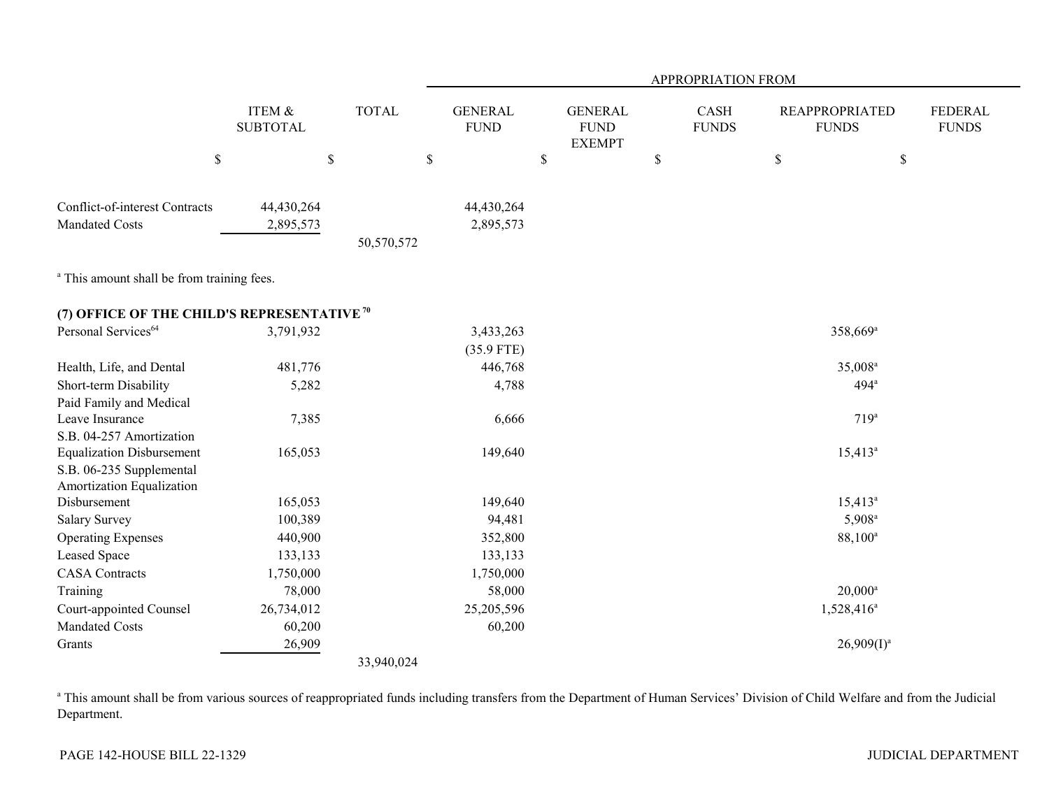|                                                        |                           |              | APPROPRIATION FROM            |                                                |                      |                                       |                                |  |  |  |
|--------------------------------------------------------|---------------------------|--------------|-------------------------------|------------------------------------------------|----------------------|---------------------------------------|--------------------------------|--|--|--|
|                                                        | ITEM &<br><b>SUBTOTAL</b> | <b>TOTAL</b> | <b>GENERAL</b><br><b>FUND</b> | <b>GENERAL</b><br><b>FUND</b><br><b>EXEMPT</b> | CASH<br><b>FUNDS</b> | <b>REAPPROPRIATED</b><br><b>FUNDS</b> | <b>FEDERAL</b><br><b>FUNDS</b> |  |  |  |
|                                                        | $\mathbb S$               | $\mathbb S$  | $\$$                          | \$                                             | $\mathbb S$          | \$<br>$\mathbb{S}$                    |                                |  |  |  |
| Conflict-of-interest Contracts                         | 44,430,264                |              | 44,430,264                    |                                                |                      |                                       |                                |  |  |  |
| <b>Mandated Costs</b>                                  | 2,895,573                 |              | 2,895,573                     |                                                |                      |                                       |                                |  |  |  |
|                                                        |                           | 50,570,572   |                               |                                                |                      |                                       |                                |  |  |  |
| <sup>a</sup> This amount shall be from training fees.  |                           |              |                               |                                                |                      |                                       |                                |  |  |  |
| (7) OFFICE OF THE CHILD'S REPRESENTATIVE <sup>70</sup> |                           |              |                               |                                                |                      |                                       |                                |  |  |  |
| Personal Services <sup>64</sup>                        | 3,791,932                 |              | 3,433,263                     |                                                |                      | 358,669 <sup>a</sup>                  |                                |  |  |  |
|                                                        |                           |              | $(35.9$ FTE)                  |                                                |                      |                                       |                                |  |  |  |
| Health, Life, and Dental                               | 481,776                   |              | 446,768                       |                                                |                      | 35,008 <sup>a</sup>                   |                                |  |  |  |
| Short-term Disability                                  | 5,282                     |              | 4,788                         |                                                |                      | 494 <sup>a</sup>                      |                                |  |  |  |
| Paid Family and Medical                                |                           |              |                               |                                                |                      |                                       |                                |  |  |  |
| Leave Insurance                                        | 7,385                     |              | 6,666                         |                                                |                      | 719 <sup>a</sup>                      |                                |  |  |  |
| S.B. 04-257 Amortization                               |                           |              |                               |                                                |                      |                                       |                                |  |  |  |
| <b>Equalization Disbursement</b>                       | 165,053                   |              | 149,640                       |                                                |                      | $15,413^a$                            |                                |  |  |  |
| S.B. 06-235 Supplemental                               |                           |              |                               |                                                |                      |                                       |                                |  |  |  |
| Amortization Equalization                              |                           |              |                               |                                                |                      |                                       |                                |  |  |  |
| Disbursement                                           | 165,053                   |              | 149,640                       |                                                |                      | $15,413^a$                            |                                |  |  |  |
| <b>Salary Survey</b>                                   | 100,389                   |              | 94,481                        |                                                |                      | $5,908^{\rm a}$                       |                                |  |  |  |
| <b>Operating Expenses</b>                              | 440,900                   |              | 352,800                       |                                                |                      | 88,100 <sup>a</sup>                   |                                |  |  |  |
| Leased Space                                           | 133,133                   |              | 133,133                       |                                                |                      |                                       |                                |  |  |  |
| <b>CASA</b> Contracts                                  | 1,750,000                 |              | 1,750,000                     |                                                |                      |                                       |                                |  |  |  |
| Training                                               | 78,000                    |              | 58,000                        |                                                |                      | $20,000^a$                            |                                |  |  |  |
| Court-appointed Counsel                                | 26,734,012                |              | 25,205,596                    |                                                |                      | $1,528,416^a$                         |                                |  |  |  |
| <b>Mandated Costs</b>                                  | 60,200                    |              | 60,200                        |                                                |                      |                                       |                                |  |  |  |
| Grants                                                 | 26,909                    |              |                               |                                                |                      | $26,909(1)^a$                         |                                |  |  |  |
|                                                        |                           | 33,940,024   |                               |                                                |                      |                                       |                                |  |  |  |

<sup>a</sup> This amount shall be from various sources of reappropriated funds including transfers from the Department of Human Services' Division of Child Welfare and from the Judicial Department.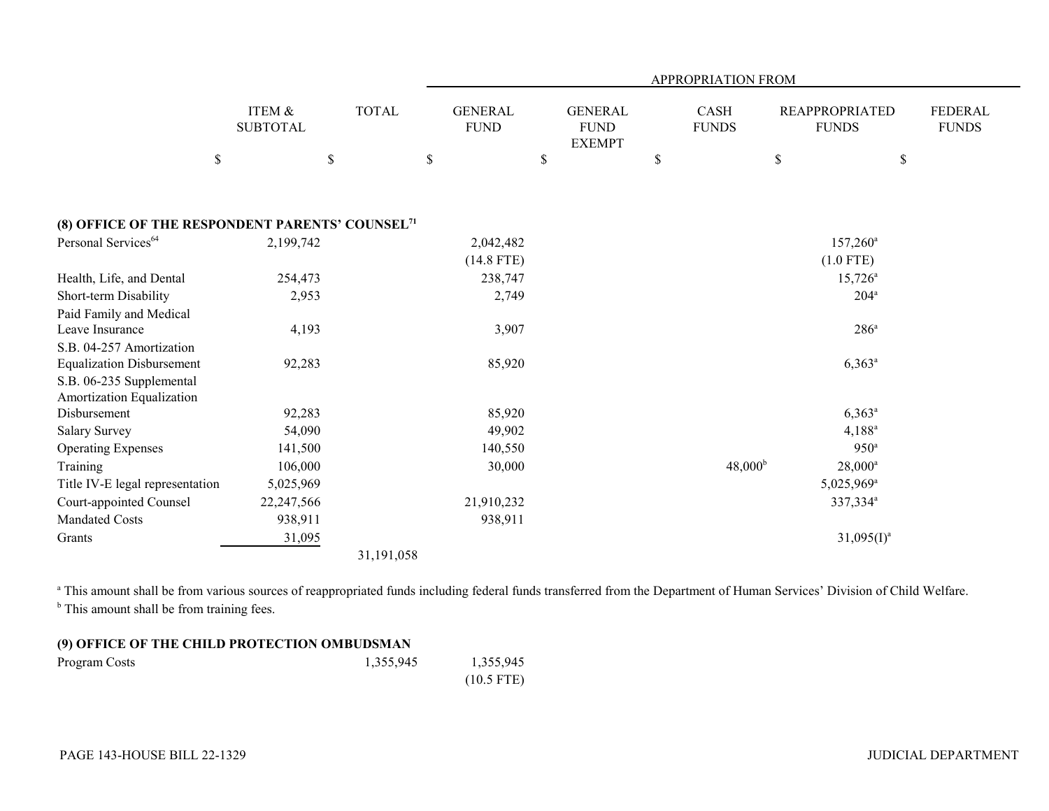|                                                                                           |                                      |                                               |                           |                                                |                             | APPROPRIATION FROM  |                                       |                                |
|-------------------------------------------------------------------------------------------|--------------------------------------|-----------------------------------------------|---------------------------|------------------------------------------------|-----------------------------|---------------------|---------------------------------------|--------------------------------|
|                                                                                           | <b>ITEM &amp;</b><br><b>SUBTOTAL</b> | <b>TOTAL</b><br><b>GENERAL</b><br><b>FUND</b> |                           | <b>GENERAL</b><br><b>FUND</b><br><b>EXEMPT</b> | <b>CASH</b><br><b>FUNDS</b> |                     | <b>REAPPROPRIATED</b><br><b>FUNDS</b> | <b>FEDERAL</b><br><b>FUNDS</b> |
| $\$$                                                                                      |                                      | $\$$                                          | $\$$                      | \$                                             | \$                          | \$                  | \$                                    |                                |
| (8) OFFICE OF THE RESPONDENT PARENTS' COUNSEL <sup>71</sup>                               |                                      |                                               |                           |                                                |                             |                     |                                       |                                |
| Personal Services <sup>64</sup>                                                           | 2,199,742                            |                                               | 2,042,482<br>$(14.8$ FTE) |                                                |                             |                     | $157,260^{\circ}$<br>$(1.0$ FTE)      |                                |
| Health, Life, and Dental                                                                  | 254,473                              |                                               | 238,747                   |                                                |                             |                     | $15,726^{\circ}$                      |                                |
| Short-term Disability                                                                     | 2,953                                |                                               | 2,749                     |                                                |                             |                     | $204^{\mathrm{a}}$                    |                                |
| Paid Family and Medical<br>Leave Insurance                                                | 4,193                                |                                               | 3,907                     |                                                |                             |                     | $286^{\circ}$                         |                                |
| S.B. 04-257 Amortization                                                                  |                                      |                                               | 85,920                    |                                                |                             |                     | $6,363^{\rm a}$                       |                                |
| <b>Equalization Disbursement</b><br>S.B. 06-235 Supplemental<br>Amortization Equalization | 92,283                               |                                               |                           |                                                |                             |                     |                                       |                                |
| Disbursement                                                                              | 92,283                               |                                               | 85,920                    |                                                |                             |                     | $6,363^{\circ}$                       |                                |
| <b>Salary Survey</b>                                                                      | 54,090                               |                                               | 49,902                    |                                                |                             |                     | $4,188^a$                             |                                |
| <b>Operating Expenses</b>                                                                 | 141,500                              |                                               | 140,550                   |                                                |                             |                     | 950 <sup>a</sup>                      |                                |
| Training                                                                                  | 106,000                              |                                               | 30,000                    |                                                |                             | 48,000 <sup>b</sup> | $28,000^a$                            |                                |
| Title IV-E legal representation                                                           | 5,025,969                            |                                               |                           |                                                |                             |                     | $5,025,969$ <sup>a</sup>              |                                |
| Court-appointed Counsel                                                                   | 22,247,566                           |                                               | 21,910,232                |                                                |                             |                     | 337,334 <sup>a</sup>                  |                                |
| <b>Mandated Costs</b>                                                                     | 938,911                              |                                               | 938,911                   |                                                |                             |                     |                                       |                                |
| Grants                                                                                    | 31,095                               |                                               |                           |                                                |                             |                     | $31,095(I)^a$                         |                                |
|                                                                                           |                                      | 31,191,058                                    |                           |                                                |                             |                     |                                       |                                |

a This amount shall be from various sources of reappropriated funds including federal funds transferred from the Department of Human Services' Division of Child Welfare. <sup>b</sup> This amount shall be from training fees.

## **(9) OFFICE OF THE CHILD PROTECTION OMBUDSMAN**

| Program Costs | 1,355,945 | 1,355,945    |
|---------------|-----------|--------------|
|               |           | $(10.5$ FTE) |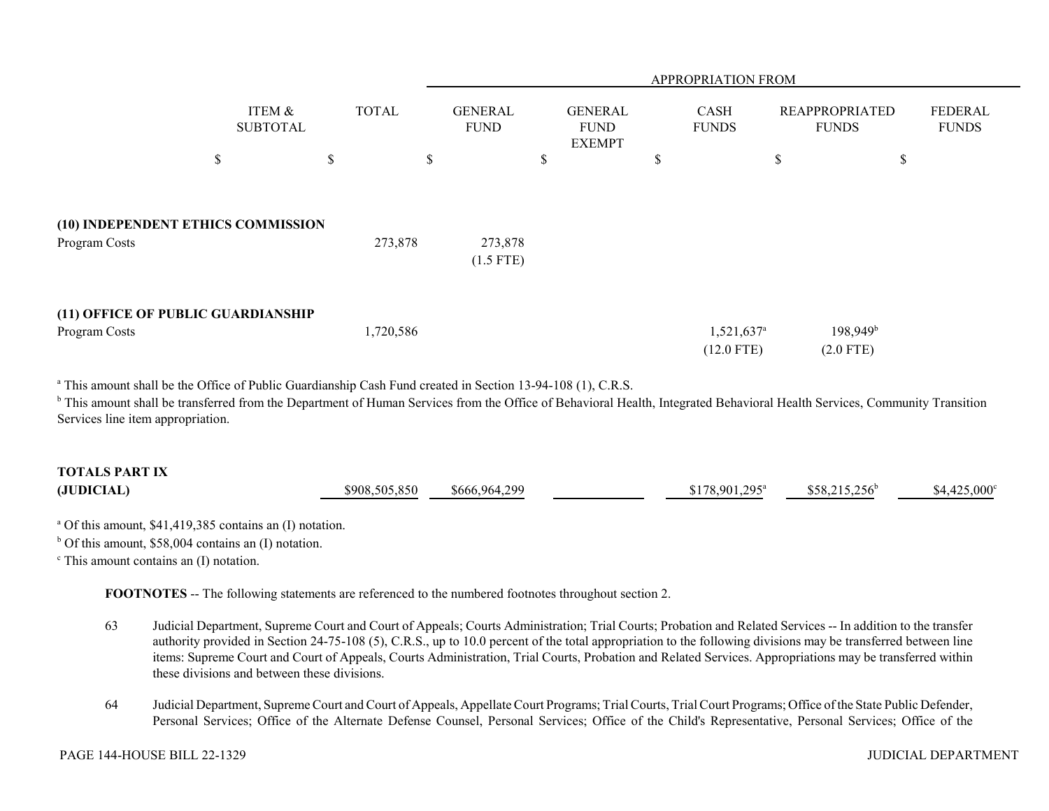|               |                                    |              |           | APPROPRIATION FROM            |                                                |                      |                        |                                       |                         |  |
|---------------|------------------------------------|--------------|-----------|-------------------------------|------------------------------------------------|----------------------|------------------------|---------------------------------------|-------------------------|--|
|               | ITEM &<br><b>SUBTOTAL</b>          | <b>TOTAL</b> |           | <b>GENERAL</b><br><b>FUND</b> | <b>GENERAL</b><br><b>FUND</b><br><b>EXEMPT</b> | CASH<br><b>FUNDS</b> |                        | <b>REAPPROPRIATED</b><br><b>FUNDS</b> | FEDERAL<br><b>FUNDS</b> |  |
|               | \$                                 | \$           | \$        |                               | \$                                             | D                    |                        | \$                                    | \$                      |  |
| Program Costs | (10) INDEPENDENT ETHICS COMMISSION |              | 273,878   | 273,878<br>$(1.5$ FTE)        |                                                |                      |                        |                                       |                         |  |
| Program Costs | (11) OFFICE OF PUBLIC GUARDIANSHIP |              | 1,720,586 |                               |                                                |                      | 1,521,637 <sup>a</sup> | $198,949^b$                           |                         |  |
|               |                                    |              |           |                               |                                                |                      | $(12.0$ FTE)           | $(2.0$ FTE)                           |                         |  |

<sup>a</sup> This amount shall be the Office of Public Guardianship Cash Fund created in Section 13-94-108 (1), C.R.S.

<sup>b</sup> This amount shall be transferred from the Department of Human Services from the Office of Behavioral Health, Integrated Behavioral Health Services, Community Transition Services line item appropriation.

# **TOTALS PART IX(JUDICIAL)** \$908,505,850 \$666,964,299 \$178,901,295<sup>a</sup> \$58,215,256<sup>b</sup> \$4,425,000°

<sup>a</sup> Of this amount, \$41,419,385 contains an (I) notation.

 $<sup>b</sup>$  Of this amount, \$58,004 contains an (I) notation.</sup>

 $\degree$  This amount contains an (I) notation.

**FOOTNOTES** -- The following statements are referenced to the numbered footnotes throughout section 2.

- 63 Judicial Department, Supreme Court and Court of Appeals; Courts Administration; Trial Courts; Probation and Related Services -- In addition to the transfer authority provided in Section 24-75-108 (5), C.R.S., up to 10.0 percent of the total appropriation to the following divisions may be transferred between line items: Supreme Court and Court of Appeals, Courts Administration, Trial Courts, Probation and Related Services. Appropriations may be transferred within these divisions and between these divisions.
- 64 Judicial Department, Supreme Court and Court of Appeals, Appellate Court Programs; Trial Courts, Trial Court Programs; Office of the State Public Defender, Personal Services; Office of the Alternate Defense Counsel, Personal Services; Office of the Child's Representative, Personal Services; Office of the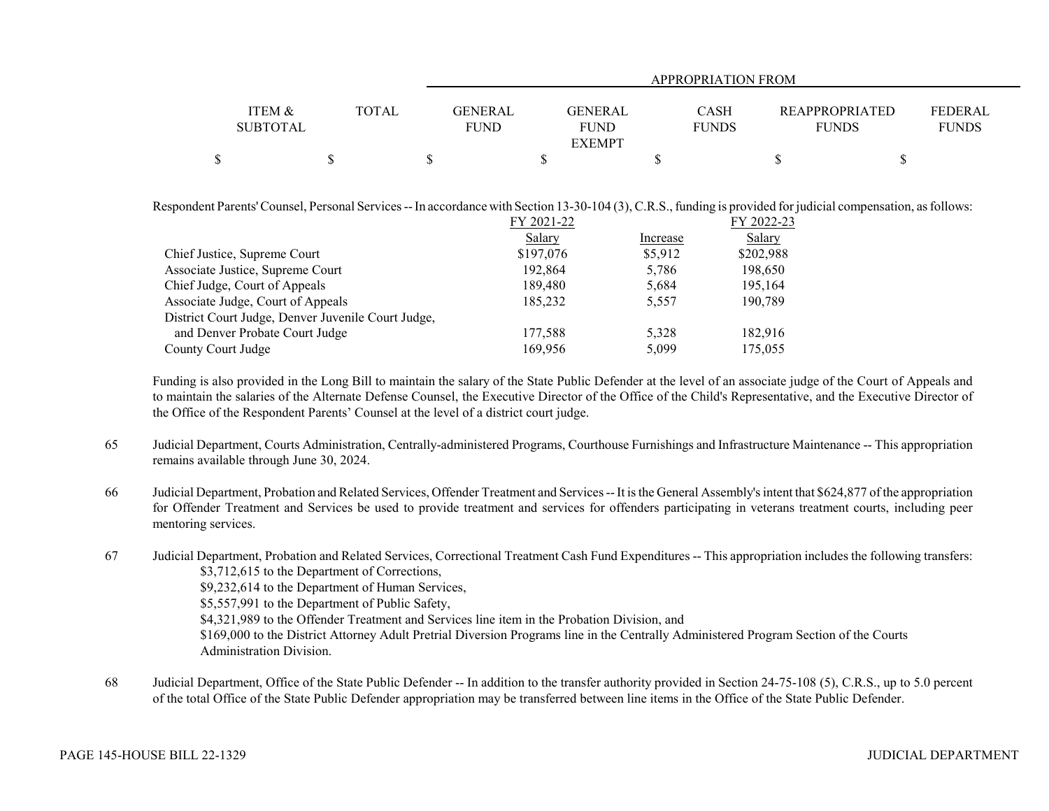|                   |       | <b>APPROPRIATION FROM</b> |               |              |                |              |  |  |  |
|-------------------|-------|---------------------------|---------------|--------------|----------------|--------------|--|--|--|
|                   |       |                           |               |              |                |              |  |  |  |
| <b>ITEM &amp;</b> | TOTAL | <b>GENERAL</b>            | GENERAL       | <b>CASH</b>  | REAPPROPRIATED | FEDERAL      |  |  |  |
| <b>SUBTOTAL</b>   |       | <b>FUND</b>               | <b>FUND</b>   | <b>FUNDS</b> | <b>FUNDS</b>   | <b>FUNDS</b> |  |  |  |
|                   |       |                           | <b>EXEMPT</b> |              |                |              |  |  |  |
|                   |       |                           |               |              |                |              |  |  |  |

Respondent Parents' Counsel, Personal Services -- In accordance with Section 13-30-104 (3), C.R.S., funding is provided for judicial compensation, as follows:

|           |            | FY 2022-23 |
|-----------|------------|------------|
| Salary    | Increase   | Salary     |
| \$197,076 | \$5,912    | \$202,988  |
| 192,864   | 5,786      | 198,650    |
| 189,480   | 5,684      | 195,164    |
| 185,232   | 5,557      | 190,789    |
|           |            |            |
| 177.588   | 5.328      | 182.916    |
| 169.956   | 5,099      | 175,055    |
|           | FY 2021-22 |            |

Funding is also provided in the Long Bill to maintain the salary of the State Public Defender at the level of an associate judge of the Court of Appeals and to maintain the salaries of the Alternate Defense Counsel, the Executive Director of the Office of the Child's Representative, and the Executive Director of the Office of the Respondent Parents' Counsel at the level of a district court judge.

- 65 Judicial Department, Courts Administration, Centrally-administered Programs, Courthouse Furnishings and Infrastructure Maintenance -- This appropriation remains available through June 30, 2024.
- 66 Judicial Department, Probation and Related Services, Offender Treatment and Services -- It is the General Assembly's intent that \$624,877 of the appropriation for Offender Treatment and Services be used to provide treatment and services for offenders participating in veterans treatment courts, including peer mentoring services.
- 67 Judicial Department, Probation and Related Services, Correctional Treatment Cash Fund Expenditures -- This appropriation includes the following transfers: \$3,712,615 to the Department of Corrections, \$9,232,614 to the Department of Human Services, \$5,557,991 to the Department of Public Safety, \$4,321,989 to the Offender Treatment and Services line item in the Probation Division, and \$169,000 to the District Attorney Adult Pretrial Diversion Programs line in the Centrally Administered Program Section of the Courts Administration Division.
- 68 Judicial Department, Office of the State Public Defender -- In addition to the transfer authority provided in Section 24-75-108 (5), C.R.S., up to 5.0 percent of the total Office of the State Public Defender appropriation may be transferred between line items in the Office of the State Public Defender.